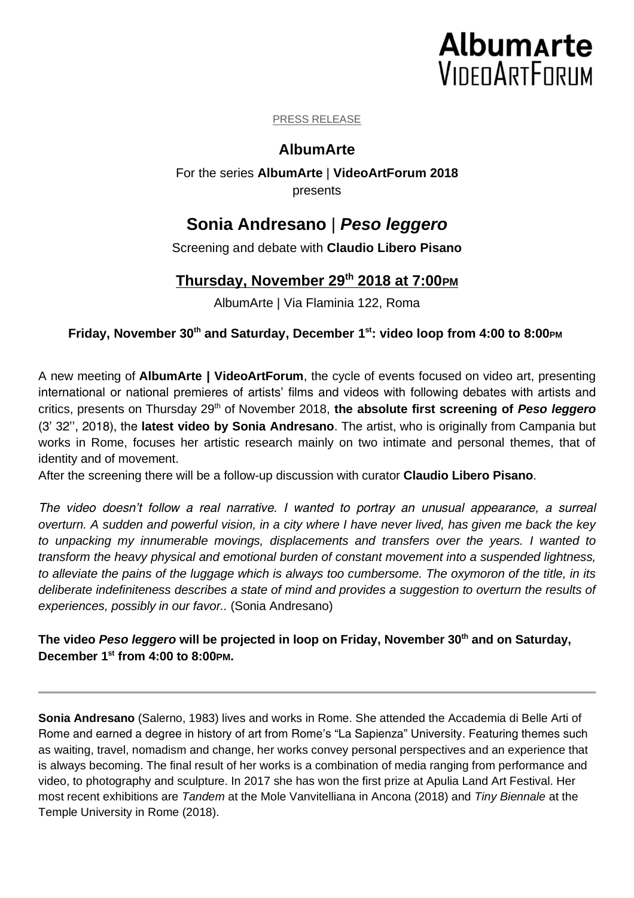# **Albumarte VIDEOARTFORUM**

#### PRESS RELEASE

## **AlbumArte**

For the series **AlbumArte** | **VideoArtForum 2018** presents

# **Sonia Andresano** | *Peso leggero*

Screening and debate with **Claudio Libero Pisano**

## **Thursday, November 29th 2018 at 7:00PM**

AlbumArte | Via Flaminia 122, Roma

## **Friday, November 30th and Saturday, December 1 st: video loop from 4:00 to 8:00PM**

A new meeting of **AlbumArte | VideoArtForum**, the cycle of events focused on video art, presenting international or national premieres of artists' films and videos with following debates with artists and critics, presents on Thursday 29<sup>th</sup> of November 2018, the absolute first screening of *Peso leggero* (3' 32'', 2018), the **latest video by Sonia Andresano**. The artist, who is originally from Campania but works in Rome, focuses her artistic research mainly on two intimate and personal themes, that of identity and of movement.

After the screening there will be a follow-up discussion with curator **Claudio Libero Pisano**.

*The video doesn't follow a real narrative. I wanted to portray an unusual appearance, a surreal overturn. A sudden and powerful vision, in a city where I have never lived, has given me back the key to unpacking my innumerable movings, displacements and transfers over the years. I wanted to transform the heavy physical and emotional burden of constant movement into a suspended lightness, to alleviate the pains of the luggage which is always too cumbersome. The oxymoron of the title, in its deliberate indefiniteness describes a state of mind and provides a suggestion to overturn the results of experiences, possibly in our favor..* (Sonia Andresano)

**The video** *Peso leggero* **will be projected in loop on Friday, November 30th and on Saturday, December 1 st from 4:00 to 8:00PM.**

**Sonia Andresano** (Salerno, 1983) lives and works in Rome. She attended the Accademia di Belle Arti of Rome and earned a degree in history of art from Rome's "La Sapienza" University. Featuring themes such as waiting, travel, nomadism and change, her works convey personal perspectives and an experience that is always becoming. The final result of her works is a combination of media ranging from performance and video, to photography and sculpture. In 2017 she has won the first prize at Apulia Land Art Festival. Her most recent exhibitions are *Tandem* at the Mole Vanvitelliana in Ancona (2018) and *Tiny Biennale* at the Temple University in Rome (2018).